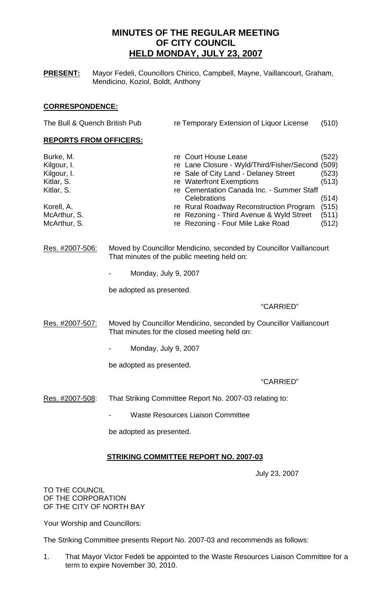# **MINUTES OF THE REGULAR MEETING OF CITY COUNCIL HELD MONDAY, JULY 23, 2007**

**PRESENT:** Mayor Fedeli, Councillors Chirico, Campbell, Mayne, Vaillancourt, Graham, Mendicino, Koziol, Boldt, Anthony

## **CORRESPONDENCE:**

| The Bull & Quench British Pub<br>re Temporary Extension of Liquor License<br>(510) |       |
|------------------------------------------------------------------------------------|-------|
| <b>REPORTS FROM OFFICERS:</b>                                                      |       |
| Burke, M.<br>re Court House Lease                                                  | (522) |
| re Lane Closure - Wyld/Third/Fisher/Second<br>Kilgour, I.                          | (509) |
| re Sale of City Land - Delaney Street<br>Kilgour, I.                               | (523) |
| re Waterfront Exemptions<br>Kitlar, S.                                             | (513) |
| re Cementation Canada Inc. - Summer Staff<br>Kitlar, S.                            |       |
| Celebrations                                                                       | (514) |
| Korell, A.<br>re Rural Roadway Reconstruction Program                              | (515) |
| McArthur, S.<br>re Rezoning - Third Avenue & Wyld Street                           | (511) |
| re Rezoning - Four Mile Lake Road<br>McArthur, S.                                  | (512) |

Res. #2007-506: Moved by Councillor Mendicino, seconded by Councillor Vaillancourt That minutes of the public meeting held on:

- Monday, July 9, 2007

be adopted as presented.

"CARRIED"

- Res. #2007-507: Moved by Councillor Mendicino, seconded by Councillor Vaillancourt That minutes for the closed meeting held on:
	- Monday, July 9, 2007

be adopted as presented.

## "CARRIED"

- Res. #2007-508: That Striking Committee Report No. 2007-03 relating to:
	- Waste Resources Liaison Committee

be adopted as presented.

## **STRIKING COMMITTEE REPORT NO. 2007-03**

July 23, 2007

TO THE COUNCIL OF THE CORPORATION OF THE CITY OF NORTH BAY

Your Worship and Councillors:

The Striking Committee presents Report No. 2007-03 and recommends as follows:

1. That Mayor Victor Fedeli be appointed to the Waste Resources Liaison Committee for a term to expire November 30, 2010.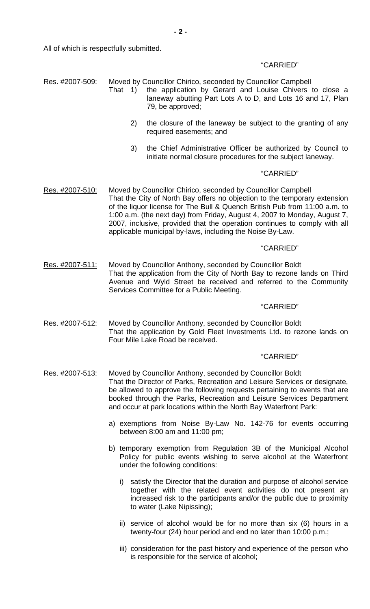All of which is respectfully submitted.

## "CARRIED"

| Moved by Councillor Chirico, seconded by Councillor Campbell<br>Res. #2007-509: |  |
|---------------------------------------------------------------------------------|--|
|---------------------------------------------------------------------------------|--|

- That 1) the application by Gerard and Louise Chivers to close a laneway abutting Part Lots A to D, and Lots 16 and 17, Plan 79, be approved;
	- 2) the closure of the laneway be subject to the granting of any required easements; and
	- 3) the Chief Administrative Officer be authorized by Council to initiate normal closure procedures for the subject laneway.

## "CARRIED"

Res. #2007-510: Moved by Councillor Chirico, seconded by Councillor Campbell That the City of North Bay offers no objection to the temporary extension of the liquor license for The Bull & Quench British Pub from 11:00 a.m. to 1:00 a.m. (the next day) from Friday, August 4, 2007 to Monday, August 7, 2007, inclusive, provided that the operation continues to comply with all applicable municipal by-laws, including the Noise By-Law.

## "CARRIED"

Res. #2007-511: Moved by Councillor Anthony, seconded by Councillor Boldt That the application from the City of North Bay to rezone lands on Third Avenue and Wyld Street be received and referred to the Community Services Committee for a Public Meeting.

#### "CARRIED"

Res. #2007-512: Moved by Councillor Anthony, seconded by Councillor Boldt That the application by Gold Fleet Investments Ltd. to rezone lands on Four Mile Lake Road be received.

### "CARRIED"

- Res. #2007-513: Moved by Councillor Anthony, seconded by Councillor Boldt That the Director of Parks, Recreation and Leisure Services or designate, be allowed to approve the following requests pertaining to events that are booked through the Parks, Recreation and Leisure Services Department and occur at park locations within the North Bay Waterfront Park:
	- a) exemptions from Noise By-Law No. 142-76 for events occurring between 8:00 am and 11:00 pm;
	- b) temporary exemption from Regulation 3B of the Municipal Alcohol Policy for public events wishing to serve alcohol at the Waterfront under the following conditions:
		- i) satisfy the Director that the duration and purpose of alcohol service together with the related event activities do not present an increased risk to the participants and/or the public due to proximity to water (Lake Nipissing);
		- ii) service of alcohol would be for no more than six (6) hours in a twenty-four (24) hour period and end no later than 10:00 p.m.;
		- iii) consideration for the past history and experience of the person who is responsible for the service of alcohol;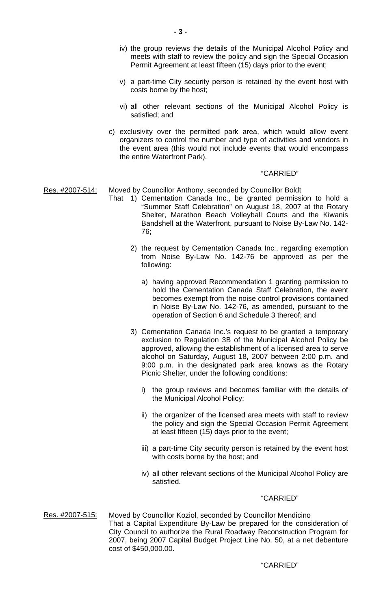- iv) the group reviews the details of the Municipal Alcohol Policy and meets with staff to review the policy and sign the Special Occasion Permit Agreement at least fifteen (15) days prior to the event;
- v) a part-time City security person is retained by the event host with costs borne by the host;
- vi) all other relevant sections of the Municipal Alcohol Policy is satisfied; and
- c) exclusivity over the permitted park area, which would allow event organizers to control the number and type of activities and vendors in the event area (this would not include events that would encompass the entire Waterfront Park).

## "CARRIED"

## Res. #2007-514: Moved by Councillor Anthony, seconded by Councillor Boldt

- That 1) Cementation Canada Inc., be granted permission to hold a "Summer Staff Celebration" on August 18, 2007 at the Rotary Shelter, Marathon Beach Volleyball Courts and the Kiwanis Bandshell at the Waterfront, pursuant to Noise By-Law No. 142- 76;
	- 2) the request by Cementation Canada Inc., regarding exemption from Noise By-Law No. 142-76 be approved as per the following:
		- a) having approved Recommendation 1 granting permission to hold the Cementation Canada Staff Celebration, the event becomes exempt from the noise control provisions contained in Noise By-Law No. 142-76, as amended, pursuant to the operation of Section 6 and Schedule 3 thereof; and
	- 3) Cementation Canada Inc.'s request to be granted a temporary exclusion to Regulation 3B of the Municipal Alcohol Policy be approved, allowing the establishment of a licensed area to serve alcohol on Saturday, August 18, 2007 between 2:00 p.m. and 9:00 p.m. in the designated park area knows as the Rotary Picnic Shelter, under the following conditions:
		- i) the group reviews and becomes familiar with the details of the Municipal Alcohol Policy;
		- ii) the organizer of the licensed area meets with staff to review the policy and sign the Special Occasion Permit Agreement at least fifteen (15) days prior to the event;
		- iii) a part-time City security person is retained by the event host with costs borne by the host; and
		- iv) all other relevant sections of the Municipal Alcohol Policy are satisfied.

#### "CARRIED"

Res. #2007-515: Moved by Councillor Koziol, seconded by Councillor Mendicino That a Capital Expenditure By-Law be prepared for the consideration of City Council to authorize the Rural Roadway Reconstruction Program for 2007, being 2007 Capital Budget Project Line No. 50, at a net debenture cost of \$450,000.00.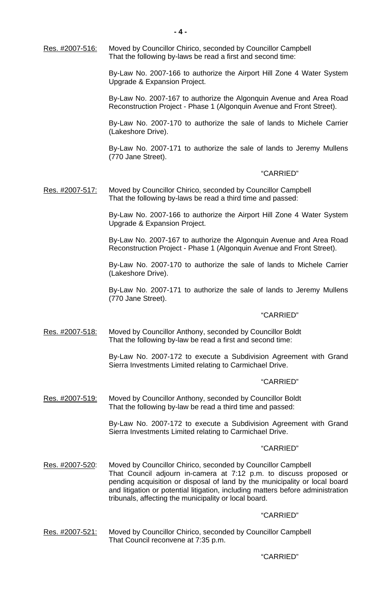Res. #2007-516: Moved by Councillor Chirico, seconded by Councillor Campbell That the following by-laws be read a first and second time:

> By-Law No. 2007-166 to authorize the Airport Hill Zone 4 Water System Upgrade & Expansion Project.

> By-Law No. 2007-167 to authorize the Algonquin Avenue and Area Road Reconstruction Project - Phase 1 (Algonquin Avenue and Front Street).

> By-Law No. 2007-170 to authorize the sale of lands to Michele Carrier (Lakeshore Drive).

> By-Law No. 2007-171 to authorize the sale of lands to Jeremy Mullens (770 Jane Street).

### "CARRIED"

#### Res. #2007-517: Moved by Councillor Chirico, seconded by Councillor Campbell That the following by-laws be read a third time and passed:

 By-Law No. 2007-166 to authorize the Airport Hill Zone 4 Water System Upgrade & Expansion Project.

 By-Law No. 2007-167 to authorize the Algonquin Avenue and Area Road Reconstruction Project - Phase 1 (Algonquin Avenue and Front Street).

 By-Law No. 2007-170 to authorize the sale of lands to Michele Carrier (Lakeshore Drive).

 By-Law No. 2007-171 to authorize the sale of lands to Jeremy Mullens (770 Jane Street).

#### "CARRIED"

Res. #2007-518: Moved by Councillor Anthony, seconded by Councillor Boldt That the following by-law be read a first and second time:

> By-Law No. 2007-172 to execute a Subdivision Agreement with Grand Sierra Investments Limited relating to Carmichael Drive.

## "CARRIED"

Res. #2007-519: Moved by Councillor Anthony, seconded by Councillor Boldt That the following by-law be read a third time and passed:

> By-Law No. 2007-172 to execute a Subdivision Agreement with Grand Sierra Investments Limited relating to Carmichael Drive.

#### "CARRIED"

Res. #2007-520: Moved by Councillor Chirico, seconded by Councillor Campbell That Council adjourn in-camera at 7:12 p.m. to discuss proposed or pending acquisition or disposal of land by the municipality or local board and litigation or potential litigation, including matters before administration tribunals, affecting the municipality or local board.

#### "CARRIED"

Res. #2007-521: Moved by Councillor Chirico, seconded by Councillor Campbell That Council reconvene at 7:35 p.m.

#### "CARRIED"